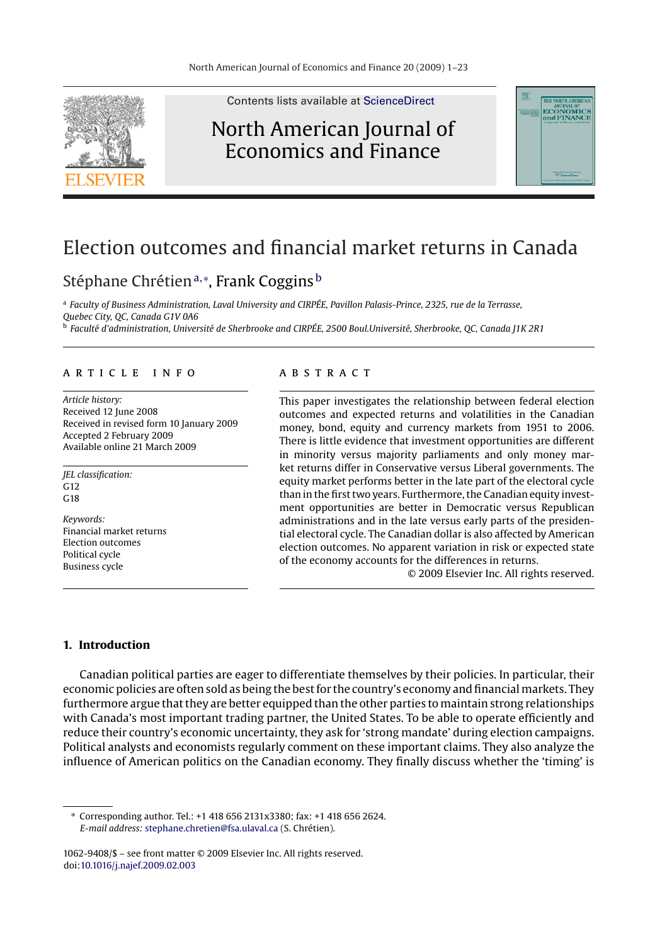

Contents lists available at [ScienceDirect](http://www.sciencedirect.com/science/journal/10629408)

## North American Journal of Economics and Finance



# Election outcomes and financial market returns in Canada

### Stéphane Chrétienª,\*, Frank Coggins<sup>b</sup>

<sup>a</sup> *Faculty of Business Administration, Laval University and CIRPÉE, Pavillon Palasis-Prince, 2325, rue de la Terrasse, Quebec City, QC, Canada G1V 0A6* <sup>b</sup> *Faculté d'administration, Université de Sherbrooke and CIRPÉE, 2500 Boul.Université, Sherbrooke, QC, Canada J1K 2R1*

#### article info

*Article history:* Received 12 June 2008 Received in revised form 10 January 2009 Accepted 2 February 2009 Available online 21 March 2009

*JEL classification:*  $G12$  $C<sub>18</sub>$ 

*Keywords:* Financial market returns Election outcomes Political cycle Business cycle

#### **ABSTRACT**

This paper investigates the relationship between federal election outcomes and expected returns and volatilities in the Canadian money, bond, equity and currency markets from 1951 to 2006. There is little evidence that investment opportunities are different in minority versus majority parliaments and only money market returns differ in Conservative versus Liberal governments. The equity market performs better in the late part of the electoral cycle than in the first two years. Furthermore, the Canadian equity investment opportunities are better in Democratic versus Republican administrations and in the late versus early parts of the presidential electoral cycle. The Canadian dollar is also affected by American election outcomes. No apparent variation in risk or expected state of the economy accounts for the differences in returns.

© 2009 Elsevier Inc. All rights reserved.

#### **1. Introduction**

Canadian political parties are eager to differentiate themselves by their policies. In particular, their economic policies are often sold as being the best for the country's economy and financial markets. They furthermore argue that they are better equipped than the other parties to maintain strong relationships with Canada's most important trading partner, the United States. To be able to operate efficiently and reduce their country's economic uncertainty, they ask for 'strong mandate' during election campaigns. Political analysts and economists regularly comment on these important claims. They also analyze the influence of American politics on the Canadian economy. They finally discuss whether the 'timing' is

∗ Corresponding author. Tel.: +1 418 656 2131x3380; fax: +1 418 656 2624. *E-mail address:* [stephane.chretien@fsa.ulaval.ca](mailto:stephane.chretien@fsa.ulaval.ca) (S. Chrétien).

1062-9408/\$ – see front matter © 2009 Elsevier Inc. All rights reserved. doi:[10.1016/j.najef.2009.02.003](dx.doi.org/10.1016/j.najef.2009.02.003)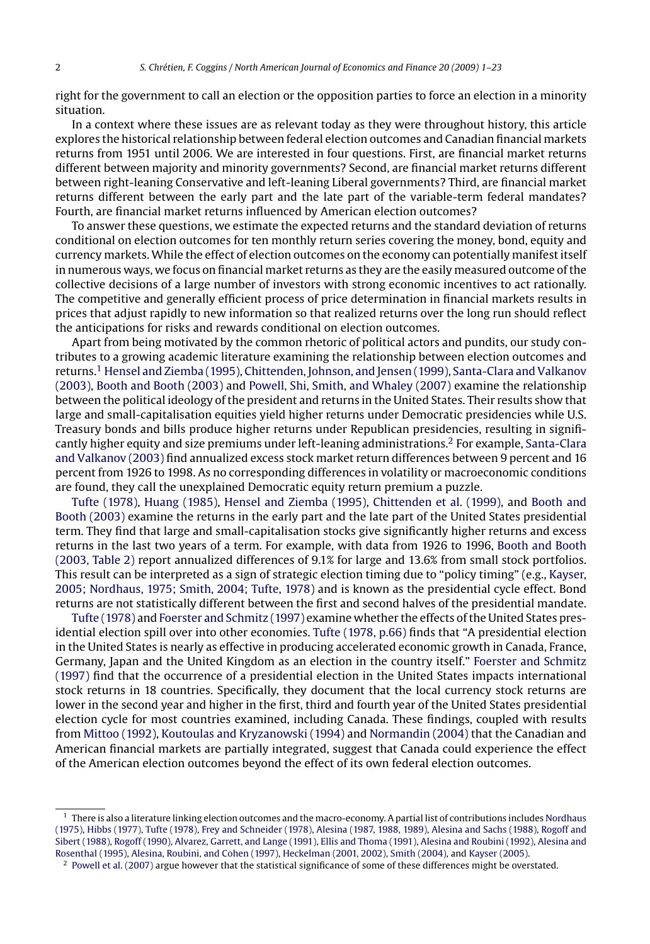right for the government to call an election or the opposition parties to force an election in a minority situation.

In a context where these issues are as relevant today as they were throughout history, this article explores the historical relationship between federal election outcomes and Canadian financial markets returns from 1951 until 2006. We are interested in four questions. First, are financial market returns different between majority and minority governments? Second, are financial market returns different between right-leaning Conservative and left-leaning Liberal governments? Third, are financial market returns different between the early part and the late part of the variable-term federal mandates? Fourth, are financial market returns influenced by American election outcomes?

To answer these questions, we estimate the expected returns and the standard deviation of returns conditional on election outcomes for ten monthly return series covering the money, bond, equity and currency markets. While the effect of election outcomes on the economy can potentially manifest itself in numerous ways, we focus on financial market returns as they are the easily measured outcome of the collective decisions of a large number of investors with strong economic incentives to act rationally. The competitive and generally efficient process of price determination in financial markets results in prices that adjust rapidly to new information so that realized returns over the long run should reflect the anticipations for risks and rewards conditional on election outcomes.

Apart from being motivated by the common rhetoric of political actors and pundits, our study contributes to a growing academic literature examining the relationship between election outcomes and returns.<sup>1</sup> [Hensel and Ziemba \(1995\),](#page--1-0) [Chittenden, Johnson, and Jensen \(1999\),](#page--1-0) [Santa-Clara and Valkanov](#page--1-0) [\(2003\),](#page--1-0) [Booth and Booth \(2003\)](#page--1-0) and [Powell, Shi, Smith, and Whaley \(2007\)](#page--1-0) examine the relationship between the political ideology of the president and returns in the United States. Their results show that large and small-capitalisation equities yield higher returns under Democratic presidencies while U.S. Treasury bonds and bills produce higher returns under Republican presidencies, resulting in significantly higher equity and size premiums under left-leaning administrations.2 For example, [Santa-Clara](#page--1-0) [and Valkanov \(2003\)](#page--1-0) find annualized excess stock market return differences between 9 percent and 16 percent from 1926 to 1998. As no corresponding differences in volatility or macroeconomic conditions are found, they call the unexplained Democratic equity return premium a puzzle.

[Tufte \(1978\),](#page--1-0) [Huang \(1985\),](#page--1-0) [Hensel and Ziemba \(1995\),](#page--1-0) [Chittenden et al. \(1999\), a](#page--1-0)nd [Booth and](#page--1-0) [Booth \(2003\)](#page--1-0) examine the returns in the early part and the late part of the United States presidential term. They find that large and small-capitalisation stocks give significantly higher returns and excess returns in the last two years of a term. For example, with data from 1926 to 1996, [Booth and Booth](#page--1-0) [\(2003, Table 2\)](#page--1-0) report annualized differences of 9.1% for large and 13.6% from small stock portfolios. This result can be interpreted as a sign of strategic election timing due to "policy timing" (e.g., [Kayser,](#page--1-0) [2005; Nordhaus, 1975; Smith, 2004; Tufte, 1978\) a](#page--1-0)nd is known as the presidential cycle effect. Bond returns are not statistically different between the first and second halves of the presidential mandate.

[Tufte \(1978\)](#page--1-0) and [Foerster and Schmitz \(1997\)](#page--1-0) examine whether the effects of the United States presidential election spill over into other economies. [Tufte \(1978, p.66\)](#page--1-0) finds that "A presidential election in the United States is nearly as effective in producing accelerated economic growth in Canada, France, Germany, Japan and the United Kingdom as an election in the country itself." [Foerster and Schmitz](#page--1-0) [\(1997\)](#page--1-0) find that the occurrence of a presidential election in the United States impacts international stock returns in 18 countries. Specifically, they document that the local currency stock returns are lower in the second year and higher in the first, third and fourth year of the United States presidential election cycle for most countries examined, including Canada. These findings, coupled with results from [Mittoo \(1992\),](#page--1-0) [Koutoulas and Kryzanowski \(1994\)](#page--1-0) and [Normandin \(2004\)](#page--1-0) that the Canadian and American financial markets are partially integrated, suggest that Canada could experience the effect of the American election outcomes beyond the effect of its own federal election outcomes.

 $1$  There is also a literature linking election outcomes and the macro-economy. A partial list of contributions includes [Nordhaus](#page--1-0) [\(1975\),](#page--1-0) [Hibbs \(1977\),](#page--1-0) [Tufte \(1978\),](#page--1-0) [Frey and Schneider \(1978\),](#page--1-0) [Alesina \(1987, 1988, 1989\),](#page--1-0) [Alesina and Sachs \(1988\),](#page--1-0) [Rogoff and](#page--1-0) [Sibert \(1988\),](#page--1-0) [Rogoff \(1990\),](#page--1-0) [Alvarez, Garrett, and Lange \(1991\),](#page--1-0) [Ellis and Thoma \(1991\),](#page--1-0) [Alesina and Roubini \(1992\),](#page--1-0) [Alesina and](#page--1-0) [Rosenthal \(1995\),](#page--1-0) [Alesina, Roubini, and Cohen \(1997\),](#page--1-0) [Heckelman \(2001, 2002\),](#page--1-0) [Smith \(2004\), a](#page--1-0)nd [Kayser \(2005\).](#page--1-0)

<sup>&</sup>lt;sup>2</sup> [Powell et al. \(2007\)](#page--1-0) argue however that the statistical significance of some of these differences might be overstated.